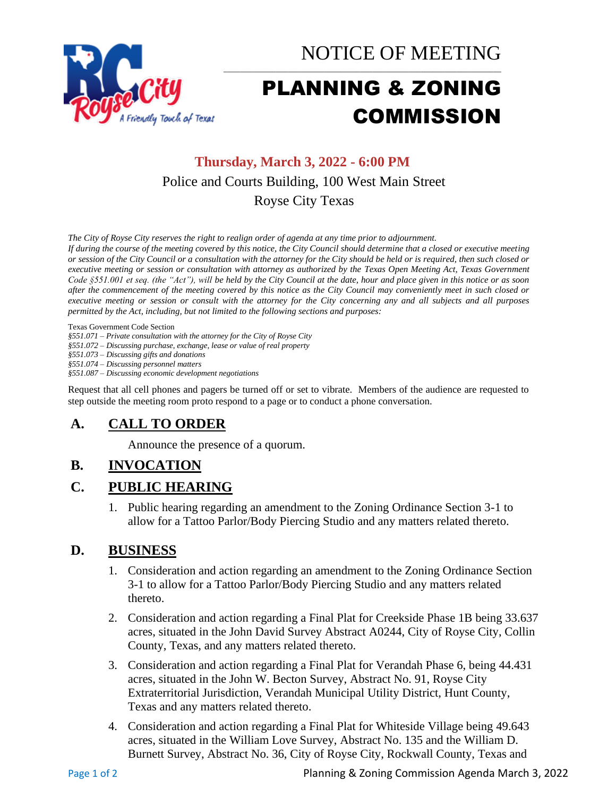

NOTICE OF MEETING

# PLANNING & ZONING COMMISSION

\_\_\_\_\_\_\_\_\_\_\_\_\_\_\_\_\_\_\_\_\_\_\_\_\_\_\_\_\_\_\_\_\_\_\_\_\_\_\_\_\_\_\_\_\_\_\_\_\_\_\_\_\_\_\_\_\_\_\_\_\_\_\_\_\_\_\_\_\_

# **Thursday, March 3, 2022 - 6:00 PM** Police and Courts Building, 100 West Main Street Royse City Texas

*The City of Royse City reserves the right to realign order of agenda at any time prior to adjournment.*

*If during the course of the meeting covered by this notice, the City Council should determine that a closed or executive meeting or session of the City Council or a consultation with the attorney for the City should be held or is required, then such closed or executive meeting or session or consultation with attorney as authorized by the Texas Open Meeting Act, Texas Government Code §551.001 et seq. (the "Act"), will be held by the City Council at the date, hour and place given in this notice or as soon after the commencement of the meeting covered by this notice as the City Council may conveniently meet in such closed or executive meeting or session or consult with the attorney for the City concerning any and all subjects and all purposes permitted by the Act, including, but not limited to the following sections and purposes:*

Texas Government Code Section

*§551.071 – Private consultation with the attorney for the City of Royse City* 

*§551.072 – Discussing purchase, exchange, lease or value of real property* 

*§551.073 – Discussing gifts and donations*

*§551.074 – Discussing personnel matters*

*§551.087 – Discussing economic development negotiations*

Request that all cell phones and pagers be turned off or set to vibrate. Members of the audience are requested to step outside the meeting room proto respond to a page or to conduct a phone conversation.

#### **A. CALL TO ORDER**

Announce the presence of a quorum.

## **B. INVOCATION**

#### **C. PUBLIC HEARING**

1. Public hearing regarding an amendment to the Zoning Ordinance Section 3-1 to allow for a Tattoo Parlor/Body Piercing Studio and any matters related thereto.

#### **D. BUSINESS**

- 1. Consideration and action regarding an amendment to the Zoning Ordinance Section 3-1 to allow for a Tattoo Parlor/Body Piercing Studio and any matters related thereto.
- 2. Consideration and action regarding a Final Plat for Creekside Phase 1B being 33.637 acres, situated in the John David Survey Abstract A0244, City of Royse City, Collin County, Texas, and any matters related thereto.
- 3. Consideration and action regarding a Final Plat for Verandah Phase 6, being 44.431 acres, situated in the John W. Becton Survey, Abstract No. 91, Royse City Extraterritorial Jurisdiction, Verandah Municipal Utility District, Hunt County, Texas and any matters related thereto.
- 4. Consideration and action regarding a Final Plat for Whiteside Village being 49.643 acres, situated in the William Love Survey, Abstract No. 135 and the William D. Burnett Survey, Abstract No. 36, City of Royse City, Rockwall County, Texas and